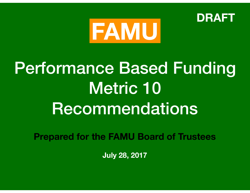



# Performance Based Funding Metric 10 Recommendations

**Prepared for the FAMU Board of Trustees** 

**July 28, 2017**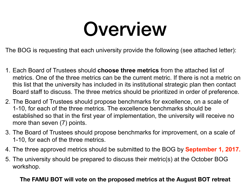# Overview

The BOG is requesting that each university provide the following (see attached letter):

- 1. Each Board of Trustees should **choose three metrics** from the attached list of metrics. One of the three metrics can be the current metric. If there is not a metric on this list that the university has included in its institutional strategic plan then contact Board staff to discuss. The three metrics should be prioritized in order of preference.
- 2. The Board of Trustees should propose benchmarks for excellence, on a scale of 1-10, for each of the three metrics. The excellence benchmarks should be established so that in the first year of implementation, the university will receive no more than seven (7) points.
- 3. The Board of Trustees should propose benchmarks for improvement, on a scale of 1-10, for each of the three metrics.
- 4. The three approved metrics should be submitted to the BOG by **September 1, 2017.**
- 5. The university should be prepared to discuss their metric(s) at the October BOG workshop.

#### **The FAMU BOT will vote on the proposed metrics at the August BOT retreat**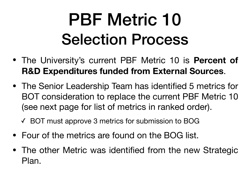# PBF Metric 10 Selection Process

- The University's current PBF Metric 10 is **Percent of R&D Expenditures funded from External Sources**.
- The Senior Leadership Team has identified 5 metrics for BOT consideration to replace the current PBF Metric 10 (see next page for list of metrics in ranked order).

✓ BOT must approve 3 metrics for submission to BOG

- Four of the metrics are found on the BOG list.
- The other Metric was identified from the new Strategic Plan.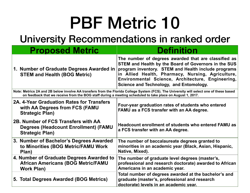# PBF Metric 10

# University Recommendations in ranked order

| <b>Proposed Metric</b>                                                                                       | <b>Definition</b>                                                                                                                                                                                                                                                                                                        |
|--------------------------------------------------------------------------------------------------------------|--------------------------------------------------------------------------------------------------------------------------------------------------------------------------------------------------------------------------------------------------------------------------------------------------------------------------|
| 1. Number of Graduate Degrees Awarded in<br><b>STEM and Health (BOG Metric)</b>                              | The number of degrees awarded that are classified as<br>STEM and Health by the Board of Governors in the SUS<br>program inventory. STEM and Health include programs<br>in Allied Health, Pharmacy, Nursing, Agriculture,<br>Environmental Science, Architecture, Engineering,<br>Science and Technology, and Entomology. |
| on feedback that we receive from the BOG staff during a meeting scheduled to take place on August 1, 2017.   | Note: Metrics 2A and 2B below involve AA transfers from the Florida College System (FCS). The University will select one of these based                                                                                                                                                                                  |
| 2A. 4-Year Graduation Rates for Transfers<br>with AA Degrees from FCS (FAMU<br><b>Strategic Plan)</b>        | Four-year graduation rates of students who entered<br>FAMU as a FCS transfer with an AA degree.                                                                                                                                                                                                                          |
| 2B. Number of FCS Transfers with AA<br><b>Degrees (Headcount Enrollment) (FAMU</b><br><b>Strategic Plan)</b> | Headcount enrollment of students who entered FAMU as<br>a FCS transfer with an AA degree.                                                                                                                                                                                                                                |
| 3. Number of Bachelor's Degrees Awarded<br>to Minorities (BOG Metric/FAMU Work<br>Plan)                      | The number of baccalaureate degrees granted to<br>minorities in an academic year (Black, Asian, Hispanic,<br>Native, Mixed).                                                                                                                                                                                             |
| 4. Number of Graduate Degrees Awarded to<br><b>African Americans (BOG Metric/FAMU</b><br><b>Work Plan)</b>   | The number of graduate level degrees (master's,<br>professional and research doctorate) awarded to African<br>Americans in an academic year.                                                                                                                                                                             |
| 5. Total Degrees Awarded (BOG Metrics)                                                                       | Total number of degrees awarded at the bachelor's and<br>graduate (master's, professional and research<br>doctorate) levels in an academic vear.                                                                                                                                                                         |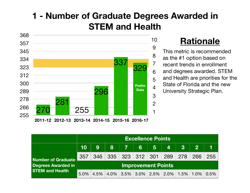# **1 - Number of Graduate Degrees Awarded in STEM and Health**



#### **Rationale**

This metric is recommended as the #1 option based on recent trends in enrollment and degrees awarded. STEM and Health are priorities for the State of Florida and the new University Strategic Plan.

|                                                                           | <b>Excellence Points</b>  |     |                                         |     |  |                 |                                   |                |              |      |  |  |
|---------------------------------------------------------------------------|---------------------------|-----|-----------------------------------------|-----|--|-----------------|-----------------------------------|----------------|--------------|------|--|--|
|                                                                           | 10 <sup>°</sup>           | 9   |                                         | 8 7 |  | $6 \mid 5 \mid$ | $\overline{4}$                    | 3 <sup>1</sup> | $\mathbf{2}$ |      |  |  |
| <b>Number of Graduate</b><br>Degrees Awarded in<br><b>STEM and Health</b> | 357                       | 346 |                                         |     |  |                 | 335   323   312   301   289   278 |                | 266          | 255  |  |  |
|                                                                           | <b>Improvement Points</b> |     |                                         |     |  |                 |                                   |                |              |      |  |  |
|                                                                           | 5.0%                      |     | 4.5% 4.0% 3.5% 3.0% 2.5% 2.0% 1.5% 1.0% |     |  |                 |                                   |                |              | 0.5% |  |  |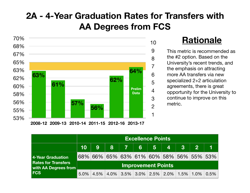## **2A - 4-Year Graduation Rates for Transfers with AA Degrees from FCS**



#### **Rationale**

This metric is recommended as the #2 option. Based on the University's recent trends, and the emphasis on attracting more AA transfers via new specialized 2+2 articulation agreements, there is great opportunity for the University to continue to improve on this metric.

|                                                                                              | <b>Excellence Points</b>  |      |  |                                         |  |                 |    |                        |             |      |  |  |
|----------------------------------------------------------------------------------------------|---------------------------|------|--|-----------------------------------------|--|-----------------|----|------------------------|-------------|------|--|--|
|                                                                                              | 10                        | 9    |  | 8 7                                     |  | $6 \mid 5 \mid$ | 47 | 3 <sup>1</sup>         | $2^{\circ}$ |      |  |  |
| 4-Year Graduation<br><b>Rates for Transfers</b><br><b>With AA Degrees from</b><br><b>FCS</b> |                           |      |  | 68% 66% 65% 63% 61% 60% 58% 56% 55% 53% |  |                 |    |                        |             |      |  |  |
|                                                                                              | <b>Improvement Points</b> |      |  |                                         |  |                 |    |                        |             |      |  |  |
|                                                                                              | 5.0%                      | 4.5% |  | $4.0\%$ 3.5% 3.0% 2.5% 2.0%             |  |                 |    | $1.5\%$ $\mid$ $1.0\%$ |             | 0.5% |  |  |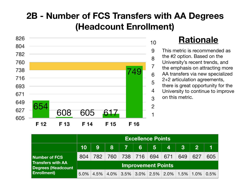# **2B - Number of FCS Transfers with AA Degrees (Headcount Enrollment)**



### **Rationale**

This metric is recommended as the #2 option. Based on the University's recent trends, and the emphasis on attracting more AA transfers via new specialized 2+2 articulation agreements, there is great opportunity for the University to continue to improve on this metric.

|                                                                                              | <b>Excellence Points</b>  |      |     |         |                |                             |                         |          |                |      |  |  |
|----------------------------------------------------------------------------------------------|---------------------------|------|-----|---------|----------------|-----------------------------|-------------------------|----------|----------------|------|--|--|
|                                                                                              | 10                        | 9    | 8   | - 7 - 1 | 6 <sup>1</sup> | 5 <sub>1</sub>              | $\overline{\mathbf{4}}$ | <b>3</b> | $\overline{2}$ |      |  |  |
| Number of FCS<br><b>Transfers with AA</b><br><b>Degrees (Headcount</b><br><b>Enrollment)</b> | 804                       | 782  | 760 |         |                | 738 716 694 671             |                         | 649      | 627            | 605  |  |  |
|                                                                                              | <b>Improvement Points</b> |      |     |         |                |                             |                         |          |                |      |  |  |
|                                                                                              | 5.0%                      | 4.5% |     |         |                | $4.0\%$ 3.5% 3.0% 2.5% 2.0% |                         | 1.5%     | $1.0\%$        | 0.5% |  |  |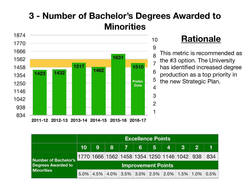# **3 - Number of Bachelor's Degrees Awarded to Minorities**



#### **Rationale**

This metric is recommended as the #3 option. The University has identified increased degree production as a top priority in **Prelim**  $\frac{5}{\pi}$  the new Strategic Plan.

|                                                                        |                           | <b>Excellence Points</b> |                                                                                         |  |  |  |                |            |       |     |  |  |  |
|------------------------------------------------------------------------|---------------------------|--------------------------|-----------------------------------------------------------------------------------------|--|--|--|----------------|------------|-------|-----|--|--|--|
|                                                                        | 10 <sup>°</sup>           | 9                        | 8785                                                                                    |  |  |  | $\overline{4}$ | $\sqrt{3}$ | $2-1$ |     |  |  |  |
| <b>Number of Bachelor's</b><br>Degrees Awarded to<br><b>Minorities</b> |                           |                          | 1770 1666 1562 1458 1354 1250 1146 1042  938                                            |  |  |  |                |            |       | 834 |  |  |  |
|                                                                        | <b>Improvement Points</b> |                          |                                                                                         |  |  |  |                |            |       |     |  |  |  |
|                                                                        | $5.0\%$                   |                          | $4.5\%$   $4.0\%$   $3.5\%$   $3.0\%$   $2.5\%$   $2.0\%$   $1.5\%$   $1.0\%$   $0.5\%$ |  |  |  |                |            |       |     |  |  |  |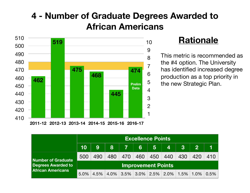### **4 - Number of Graduate Degrees Awarded to African Americans**



#### **Rationale**

This metric is recommended as the #4 option. The University has identified increased degree production as a top priority in **Prelim** <sup>5</sup> the new Strategic Plan.

|                                                                                    | <b>Excellence Points</b>  |      |     |            |                |                |                                            |                |                |     |  |  |
|------------------------------------------------------------------------------------|---------------------------|------|-----|------------|----------------|----------------|--------------------------------------------|----------------|----------------|-----|--|--|
|                                                                                    | 10                        | 9    | 8   | <b>177</b> | 6 <sup>1</sup> | 5 <sup>5</sup> | $\overline{4}$                             | $3\phantom{a}$ | $\overline{2}$ |     |  |  |
| <b>Number of Graduate</b><br><b>Degrees Awarded to</b><br><b>African Americans</b> | 500                       | 490  | 480 | 470        | 460            | 450            | 440                                        | 430            | 420            | 410 |  |  |
|                                                                                    | <b>Improvement Points</b> |      |     |            |                |                |                                            |                |                |     |  |  |
|                                                                                    | 5.0%                      | 4.5% |     |            |                |                | $4.0\%$ 3.5% 3.0% 2.5% 2.0% 1.5% 1.0% 0.5% |                |                |     |  |  |